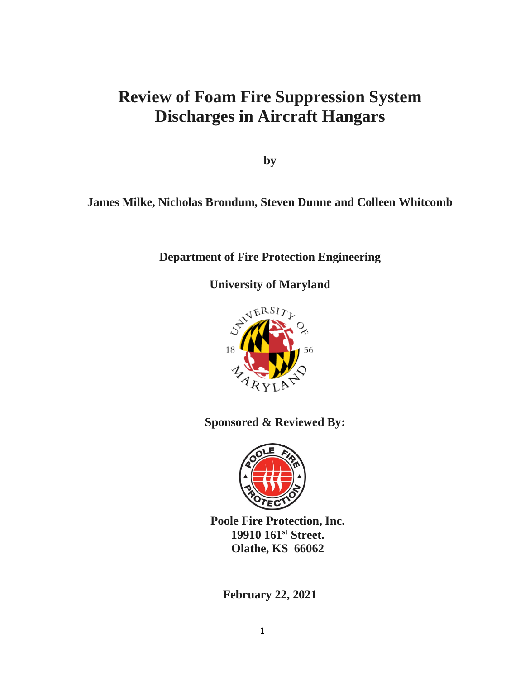# **Review of Foam Fire Suppression System Discharges in Aircraft Hangars**

**by** 

## **James Milke, Nicholas Brondum, Steven Dunne and Colleen Whitcomb**

### **Department of Fire Protection Engineering**

**University of Maryland**



**Sponsored & Reviewed By:** 



**Poole Fire Protection, Inc. 19910 161st Street. Olathe, KS 66062**

**February 22, 2021**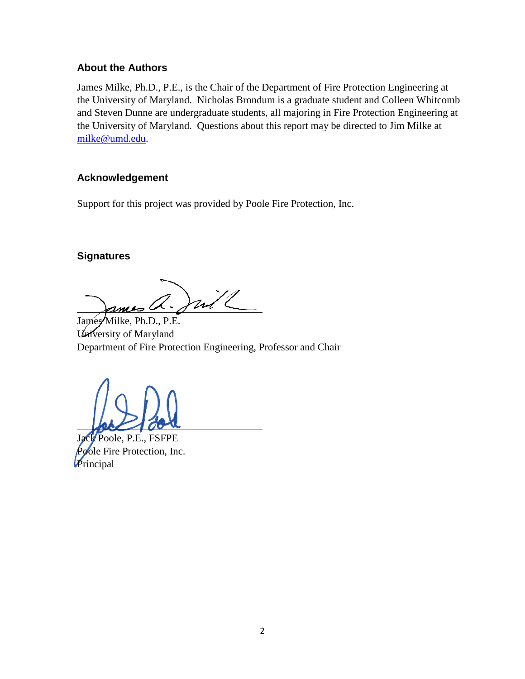#### **About the Authors**

James Milke, Ph.D., P.E., is the Chair of the Department of Fire Protection Engineering at the University of Maryland. Nicholas Brondum is a graduate student and Colleen Whitcomb and Steven Dunne are undergraduate students, all majoring in Fire Protection Engineering at the University of Maryland. Questions about this report may be directed to Jim Milke at [milke@umd.edu.](mailto:milke@umd.edu)

#### **Acknowledgement**

Support for this project was provided by Poole Fire Protection, Inc.

#### **Signatures**

mill

James Milke, Ph.D., P.E. University of Maryland Department of Fire Protection Engineering, Professor and Chair

Jack Poole, P.E., FSFPE **Pole Fire Protection, Inc.** Principal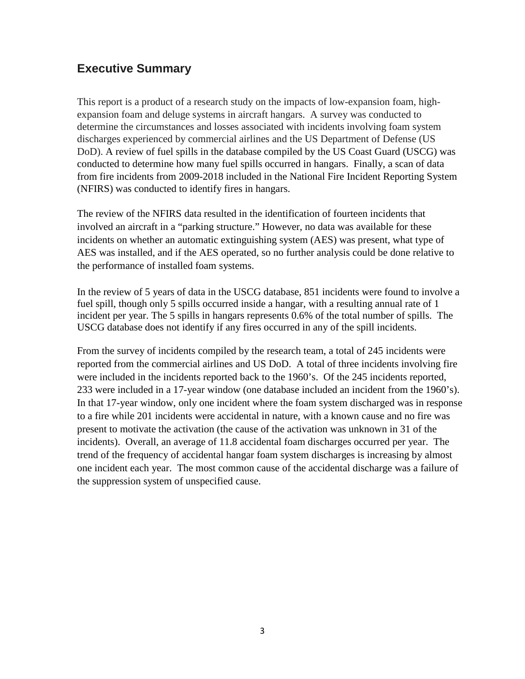### **Executive Summary**

This report is a product of a research study on the impacts of low-expansion foam, highexpansion foam and deluge systems in aircraft hangars. A survey was conducted to determine the circumstances and losses associated with incidents involving foam system discharges experienced by commercial airlines and the US Department of Defense (US DoD). A review of fuel spills in the database compiled by the US Coast Guard (USCG) was conducted to determine how many fuel spills occurred in hangars. Finally, a scan of data from fire incidents from 2009-2018 included in the National Fire Incident Reporting System (NFIRS) was conducted to identify fires in hangars.

The review of the NFIRS data resulted in the identification of fourteen incidents that involved an aircraft in a "parking structure." However, no data was available for these incidents on whether an automatic extinguishing system (AES) was present, what type of AES was installed, and if the AES operated, so no further analysis could be done relative to the performance of installed foam systems.

In the review of 5 years of data in the USCG database, 851 incidents were found to involve a fuel spill, though only 5 spills occurred inside a hangar, with a resulting annual rate of 1 incident per year. The 5 spills in hangars represents 0.6% of the total number of spills. The USCG database does not identify if any fires occurred in any of the spill incidents.

From the survey of incidents compiled by the research team, a total of 245 incidents were reported from the commercial airlines and US DoD. A total of three incidents involving fire were included in the incidents reported back to the 1960's. Of the 245 incidents reported, 233 were included in a 17-year window (one database included an incident from the 1960's). In that 17-year window, only one incident where the foam system discharged was in response to a fire while 201 incidents were accidental in nature, with a known cause and no fire was present to motivate the activation (the cause of the activation was unknown in 31 of the incidents). Overall, an average of 11.8 accidental foam discharges occurred per year. The trend of the frequency of accidental hangar foam system discharges is increasing by almost one incident each year. The most common cause of the accidental discharge was a failure of the suppression system of unspecified cause.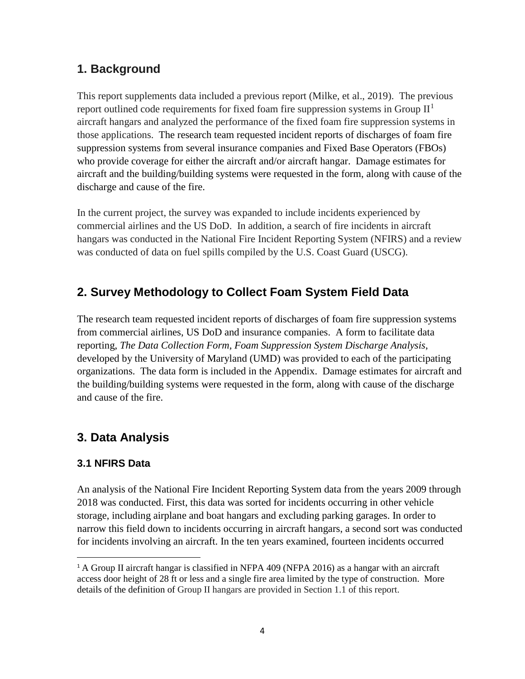## **1. Background**

This report supplements data included a previous report (Milke, et al., 2019). The previous report outlined code requirements for fixed foam fire suppression systems in Group  $II<sup>1</sup>$  $II<sup>1</sup>$  $II<sup>1</sup>$ aircraft hangars and analyzed the performance of the fixed foam fire suppression systems in those applications. The research team requested incident reports of discharges of foam fire suppression systems from several insurance companies and Fixed Base Operators (FBOs) who provide coverage for either the aircraft and/or aircraft hangar. Damage estimates for aircraft and the building/building systems were requested in the form, along with cause of the discharge and cause of the fire.

In the current project, the survey was expanded to include incidents experienced by commercial airlines and the US DoD. In addition, a search of fire incidents in aircraft hangars was conducted in the National Fire Incident Reporting System (NFIRS) and a review was conducted of data on fuel spills compiled by the U.S. Coast Guard (USCG).

## **2. Survey Methodology to Collect Foam System Field Data**

The research team requested incident reports of discharges of foam fire suppression systems from commercial airlines, US DoD and insurance companies. A form to facilitate data reporting, *The Data Collection Form, Foam Suppression System Discharge Analysis*, developed by the University of Maryland (UMD) was provided to each of the participating organizations. The data form is included in the Appendix. Damage estimates for aircraft and the building/building systems were requested in the form, along with cause of the discharge and cause of the fire.

## **3. Data Analysis**

#### **3.1 NFIRS Data**

An analysis of the National Fire Incident Reporting System data from the years 2009 through 2018 was conducted. First, this data was sorted for incidents occurring in other vehicle storage, including airplane and boat hangars and excluding parking garages. In order to narrow this field down to incidents occurring in aircraft hangars, a second sort was conducted for incidents involving an aircraft. In the ten years examined, fourteen incidents occurred

<sup>&</sup>lt;sup>1</sup> A Group II aircraft hangar is classified in NFPA 409 (NFPA 2016) as a hangar with an aircraft access door height of 28 ft or less and a single fire area limited by the type of construction. More details of the definition of Group II hangars are provided in Section 1.1 of this report.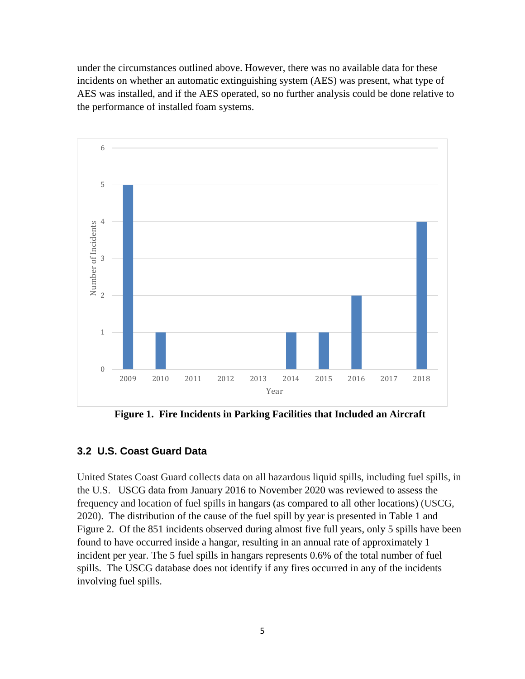under the circumstances outlined above. However, there was no available data for these incidents on whether an automatic extinguishing system (AES) was present, what type of AES was installed, and if the AES operated, so no further analysis could be done relative to the performance of installed foam systems.



**Figure 1. Fire Incidents in Parking Facilities that Included an Aircraft**

#### **3.2 U.S. Coast Guard Data**

United States Coast Guard collects data on all hazardous liquid spills, including fuel spills, in the U.S. USCG data from January 2016 to November 2020 was reviewed to assess the frequency and location of fuel spills in hangars (as compared to all other locations) (USCG, 2020). The distribution of the cause of the fuel spill by year is presented in Table 1 and Figure 2. Of the 851 incidents observed during almost five full years, only 5 spills have been found to have occurred inside a hangar, resulting in an annual rate of approximately 1 incident per year. The 5 fuel spills in hangars represents 0.6% of the total number of fuel spills. The USCG database does not identify if any fires occurred in any of the incidents involving fuel spills.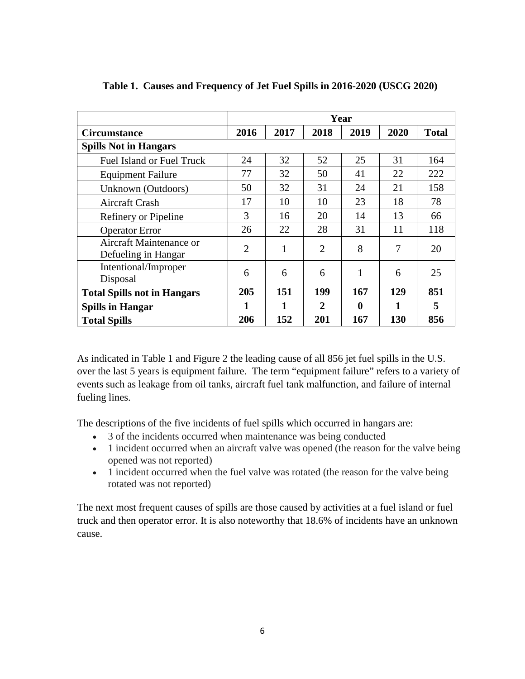|                                                |                |      |                | Year |      |              |
|------------------------------------------------|----------------|------|----------------|------|------|--------------|
| <b>Circumstance</b>                            | 2016           | 2017 | 2018           | 2019 | 2020 | <b>Total</b> |
| <b>Spills Not in Hangars</b>                   |                |      |                |      |      |              |
| <b>Fuel Island or Fuel Truck</b>               | 24             | 32   | 52             | 25   | 31   | 164          |
| <b>Equipment Failure</b>                       | 77             | 32   | 50             | 41   | 22   | 222          |
| Unknown (Outdoors)                             | 50             | 32   | 31             | 24   | 21   | 158          |
| <b>Aircraft Crash</b>                          | 17             | 10   | 10             | 23   | 18   | 78           |
| Refinery or Pipeline                           | 3              | 16   | 20             | 14   | 13   | 66           |
| <b>Operator Error</b>                          | 26             | 22   | 28             | 31   | 11   | 118          |
| Aircraft Maintenance or<br>Defueling in Hangar | $\overline{2}$ | 1    | $\overline{2}$ | 8    | 7    | 20           |
| Intentional/Improper<br>Disposal               | 6              | 6    | 6              |      | 6    | 25           |
| <b>Total Spills not in Hangars</b>             | 205            | 151  | 199            | 167  | 129  | 851          |
| <b>Spills in Hangar</b>                        |                | 1    | $\overline{2}$ | 0    | 1    | 5            |
| <b>Total Spills</b>                            | 206            | 152  | 201            | 167  | 130  | 856          |

**Table 1. Causes and Frequency of Jet Fuel Spills in 2016-2020 (USCG 2020)**

As indicated in Table 1 and Figure 2 the leading cause of all 856 jet fuel spills in the U.S. over the last 5 years is equipment failure. The term "equipment failure" refers to a variety of events such as leakage from oil tanks, aircraft fuel tank malfunction, and failure of internal fueling lines.

The descriptions of the five incidents of fuel spills which occurred in hangars are:

- 3 of the incidents occurred when maintenance was being conducted
- 1 incident occurred when an aircraft valve was opened (the reason for the valve being opened was not reported)
- 1 incident occurred when the fuel valve was rotated (the reason for the valve being rotated was not reported)

The next most frequent causes of spills are those caused by activities at a fuel island or fuel truck and then operator error. It is also noteworthy that 18.6% of incidents have an unknown cause.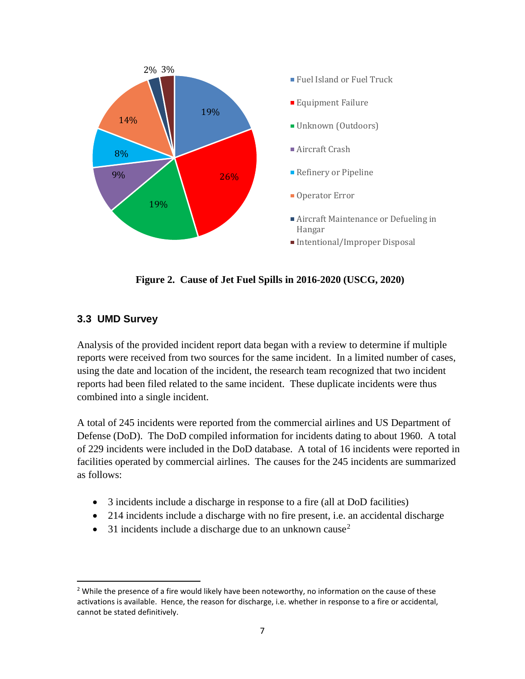

**Figure 2. Cause of Jet Fuel Spills in 2016-2020 (USCG, 2020)**

#### **3.3 UMD Survey**

Analysis of the provided incident report data began with a review to determine if multiple reports were received from two sources for the same incident. In a limited number of cases, using the date and location of the incident, the research team recognized that two incident reports had been filed related to the same incident. These duplicate incidents were thus combined into a single incident.

A total of 245 incidents were reported from the commercial airlines and US Department of Defense (DoD). The DoD compiled information for incidents dating to about 1960. A total of 229 incidents were included in the DoD database. A total of 16 incidents were reported in facilities operated by commercial airlines. The causes for the 245 incidents are summarized as follows:

- 3 incidents include a discharge in response to a fire (all at DoD facilities)
- 214 incidents include a discharge with no fire present, i.e. an accidental discharge
- 31 incidents include a discharge due to an unknown cause<sup>[2](#page-10-0)</sup>

<span id="page-6-0"></span><sup>&</sup>lt;sup>2</sup> While the presence of a fire would likely have been noteworthy, no information on the cause of these activations is available. Hence, the reason for discharge, i.e. whether in response to a fire or accidental, cannot be stated definitively.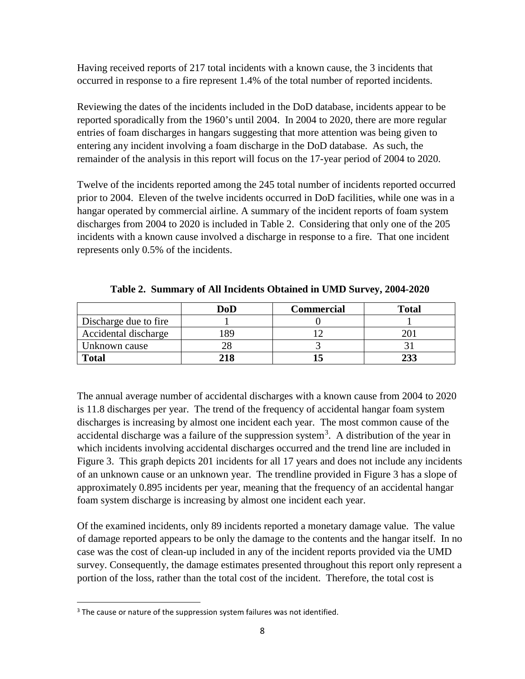Having received reports of 217 total incidents with a known cause, the 3 incidents that occurred in response to a fire represent 1.4% of the total number of reported incidents.

Reviewing the dates of the incidents included in the DoD database, incidents appear to be reported sporadically from the 1960's until 2004. In 2004 to 2020, there are more regular entries of foam discharges in hangars suggesting that more attention was being given to entering any incident involving a foam discharge in the DoD database. As such, the remainder of the analysis in this report will focus on the 17-year period of 2004 to 2020.

Twelve of the incidents reported among the 245 total number of incidents reported occurred prior to 2004. Eleven of the twelve incidents occurred in DoD facilities, while one was in a hangar operated by commercial airline. A summary of the incident reports of foam system discharges from 2004 to 2020 is included in Table 2. Considering that only one of the 205 incidents with a known cause involved a discharge in response to a fire. That one incident represents only 0.5% of the incidents.

|                       | DoD | Commercial | <b>Total</b> |
|-----------------------|-----|------------|--------------|
| Discharge due to fire |     |            |              |
| Accidental discharge  | 89  |            |              |
| Unknown cause         |     |            |              |
| <b>Total</b>          |     |            |              |

**Table 2. Summary of All Incidents Obtained in UMD Survey, 2004-2020**

The annual average number of accidental discharges with a known cause from 2004 to 2020 is 11.8 discharges per year. The trend of the frequency of accidental hangar foam system discharges is increasing by almost one incident each year. The most common cause of the accidental discharge was a failure of the suppression system<sup>[3](#page-11-0)</sup>. A distribution of the year in which incidents involving accidental discharges occurred and the trend line are included in Figure 3.This graph depicts 201 incidents for all 17 years and does not include any incidents of an unknown cause or an unknown year. The trendline provided in Figure 3 has a slope of approximately 0.895 incidents per year, meaning that the frequency of an accidental hangar foam system discharge is increasing by almost one incident each year.

Of the examined incidents, only 89 incidents reported a monetary damage value. The value of damage reported appears to be only the damage to the contents and the hangar itself. In no case was the cost of clean-up included in any of the incident reports provided via the UMD survey. Consequently, the damage estimates presented throughout this report only represent a portion of the loss, rather than the total cost of the incident. Therefore, the total cost is

 $3$  The cause or nature of the suppression system failures was not identified.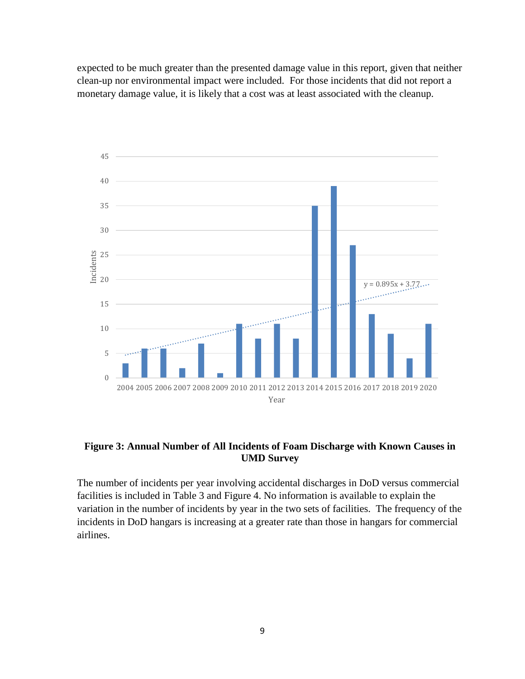expected to be much greater than the presented damage value in this report, given that neither clean-up nor environmental impact were included. For those incidents that did not report a monetary damage value, it is likely that a cost was at least associated with the cleanup.



#### **Figure 3: Annual Number of All Incidents of Foam Discharge with Known Causes in UMD Survey**

The number of incidents per year involving accidental discharges in DoD versus commercial facilities is included in Table 3 and Figure 4. No information is available to explain the variation in the number of incidents by year in the two sets of facilities. The frequency of the incidents in DoD hangars is increasing at a greater rate than those in hangars for commercial airlines.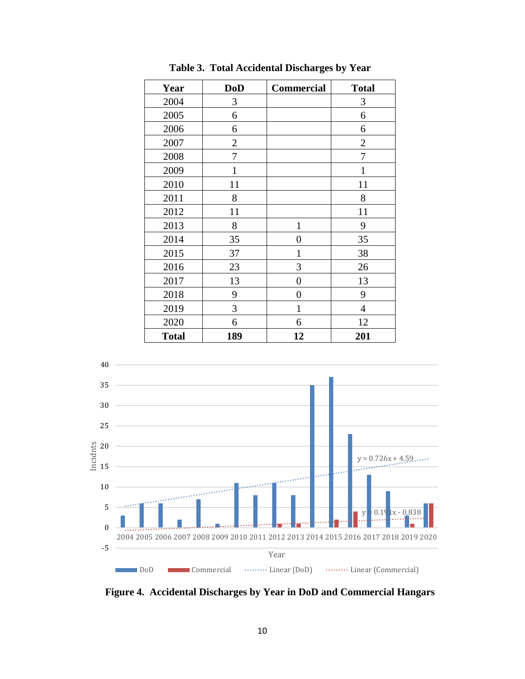| Year         | <b>DoD</b>     | Commercial       | <b>Total</b>   |
|--------------|----------------|------------------|----------------|
| 2004         | 3              |                  | 3              |
| 2005         | 6              |                  | 6              |
| 2006         | 6              |                  | 6              |
| 2007         | $\overline{2}$ |                  | $\overline{2}$ |
| 2008         | 7              |                  | 7              |
| 2009         | $\mathbf{1}$   |                  | $\mathbf{1}$   |
| 2010         | 11             |                  | 11             |
| 2011         | 8              |                  | 8              |
| 2012         | 11             |                  | 11             |
| 2013         | 8              | $\mathbf{1}$     | 9              |
| 2014         | 35             | 0                | 35             |
| 2015         | 37             | 1                | 38             |
| 2016         | 23             | 3                | 26             |
| 2017         | 13             | $\boldsymbol{0}$ | 13             |
| 2018         | 9              | $\overline{0}$   | 9              |
| 2019         | 3              | $\mathbf{1}$     | $\overline{4}$ |
| 2020         | 6              | 6                | 12             |
| <b>Total</b> | 189            | 12               | 201            |

**Table 3. Total Accidental Discharges by Year** 



**Figure 4. Accidental Discharges by Year in DoD and Commercial Hangars**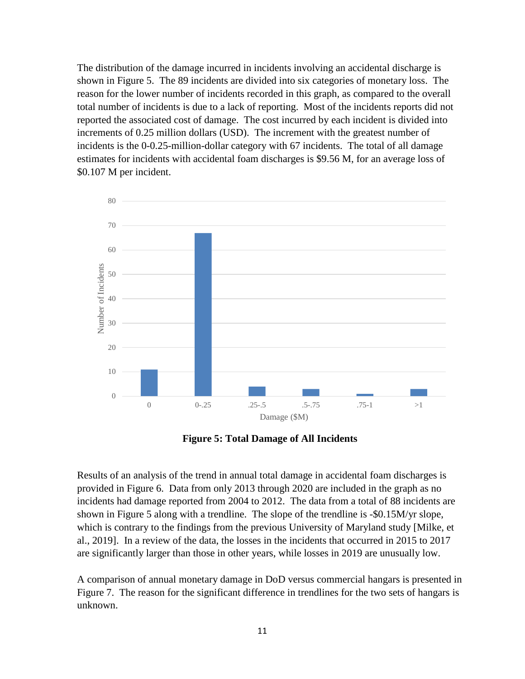The distribution of the damage incurred in incidents involving an accidental discharge is shown in Figure 5. The 89 incidents are divided into six categories of monetary loss. The reason for the lower number of incidents recorded in this graph, as compared to the overall total number of incidents is due to a lack of reporting. Most of the incidents reports did not reported the associated cost of damage. The cost incurred by each incident is divided into increments of 0.25 million dollars (USD). The increment with the greatest number of incidents is the 0-0.25-million-dollar category with 67 incidents. The total of all damage estimates for incidents with accidental foam discharges is \$9.56 M, for an average loss of \$0.107 M per incident.



**Figure 5: Total Damage of All Incidents**

Results of an analysis of the trend in annual total damage in accidental foam discharges is provided in Figure 6. Data from only 2013 through 2020 are included in the graph as no incidents had damage reported from 2004 to 2012. The data from a total of 88 incidents are shown in Figure 5 along with a trendline. The slope of the trendline is -\$0.15M/yr slope, which is contrary to the findings from the previous University of Maryland study [Milke, et al., 2019]. In a review of the data, the losses in the incidents that occurred in 2015 to 2017 are significantly larger than those in other years, while losses in 2019 are unusually low.

<span id="page-10-0"></span>A comparison of annual monetary damage in DoD versus commercial hangars is presented in Figure 7. The reason for the significant difference in trendlines for the two sets of hangars is unknown.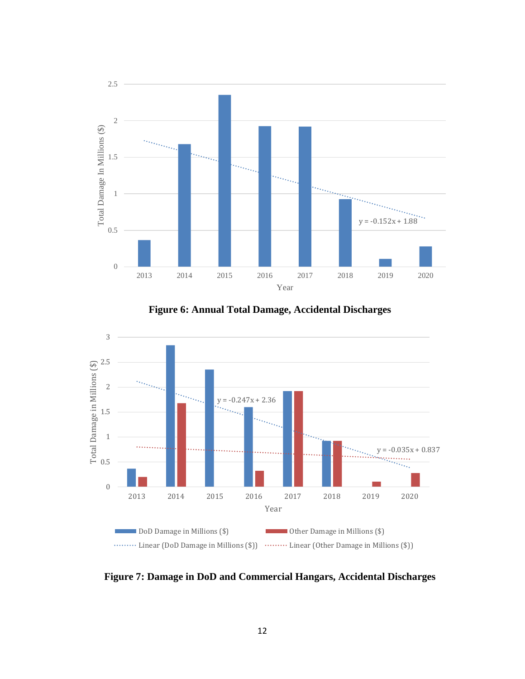

**Figure 6: Annual Total Damage, Accidental Discharges**



<span id="page-11-0"></span>**Figure 7: Damage in DoD and Commercial Hangars, Accidental Discharges**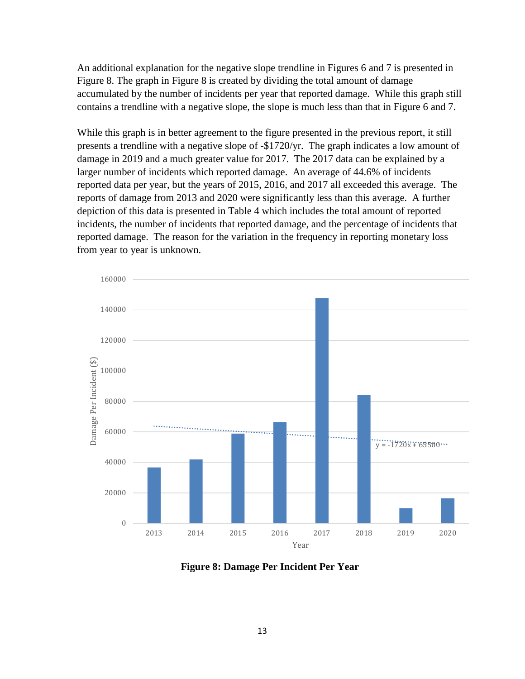An additional explanation for the negative slope trendline in Figures 6 and 7 is presented in Figure 8. The graph in Figure 8 is created by dividing the total amount of damage accumulated by the number of incidents per year that reported damage. While this graph still contains a trendline with a negative slope, the slope is much less than that in Figure 6 and 7.

While this graph is in better agreement to the figure presented in the previous report, it still presents a trendline with a negative slope of -\$1720/yr. The graph indicates a low amount of damage in 2019 and a much greater value for 2017. The 2017 data can be explained by a larger number of incidents which reported damage. An average of 44.6% of incidents reported data per year, but the years of 2015, 2016, and 2017 all exceeded this average. The reports of damage from 2013 and 2020 were significantly less than this average. A further depiction of this data is presented in Table 4 which includes the total amount of reported incidents, the number of incidents that reported damage, and the percentage of incidents that reported damage. The reason for the variation in the frequency in reporting monetary loss from year to year is unknown.



**Figure 8: Damage Per Incident Per Year**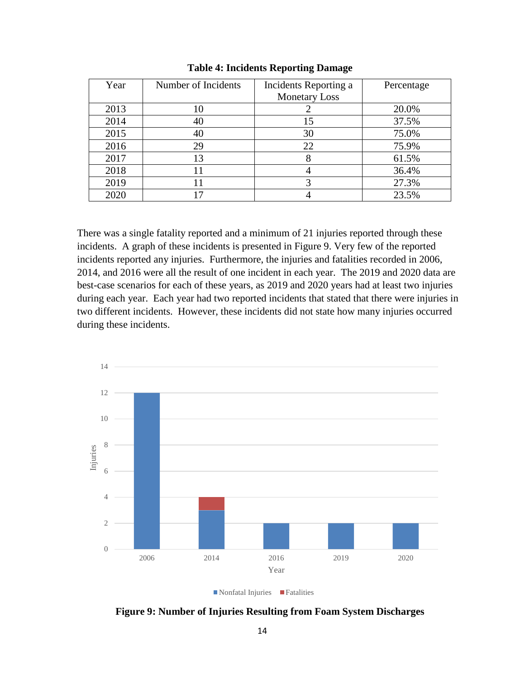| Year | Number of Incidents | Incidents Reporting a | Percentage |
|------|---------------------|-----------------------|------------|
|      |                     | <b>Monetary Loss</b>  |            |
| 2013 | 10                  |                       | 20.0%      |
| 2014 | 40                  | 15                    | 37.5%      |
| 2015 | 40                  | 30                    | 75.0%      |
| 2016 | 29                  | 22                    | 75.9%      |
| 2017 | 13                  |                       | 61.5%      |
| 2018 |                     |                       | 36.4%      |
| 2019 |                     |                       | 27.3%      |
| 2020 |                     |                       | 23.5%      |

#### **Table 4: Incidents Reporting Damage**

There was a single fatality reported and a minimum of 21 injuries reported through these incidents. A graph of these incidents is presented in Figure 9. Very few of the reported incidents reported any injuries. Furthermore, the injuries and fatalities recorded in 2006, 2014, and 2016 were all the result of one incident in each year. The 2019 and 2020 data are best-case scenarios for each of these years, as 2019 and 2020 years had at least two injuries during each year. Each year had two reported incidents that stated that there were injuries in two different incidents. However, these incidents did not state how many injuries occurred during these incidents.



**Figure 9: Number of Injuries Resulting from Foam System Discharges**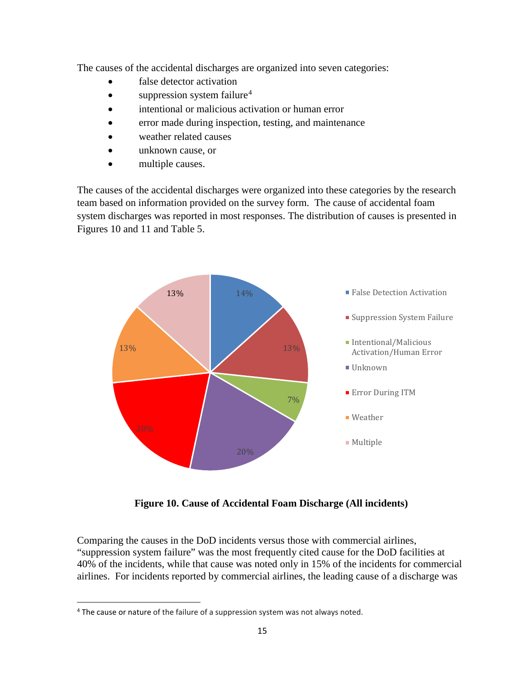The causes of the accidental discharges are organized into seven categories:

- false detector activation
- suppression system failure<sup>[4](#page-20-0)</sup>
- intentional or malicious activation or human error
- error made during inspection, testing, and maintenance
- weather related causes
- unknown cause, or
- multiple causes.

The causes of the accidental discharges were organized into these categories by the research team based on information provided on the survey form. The cause of accidental foam system discharges was reported in most responses. The distribution of causes is presented in Figures 10 and 11 and Table 5.



**Figure 10. Cause of Accidental Foam Discharge (All incidents)**

Comparing the causes in the DoD incidents versus those with commercial airlines, "suppression system failure" was the most frequently cited cause for the DoD facilities at 40% of the incidents, while that cause was noted only in 15% of the incidents for commercial airlines. For incidents reported by commercial airlines, the leading cause of a discharge was

<sup>&</sup>lt;sup>4</sup> The cause or nature of the failure of a suppression system was not always noted.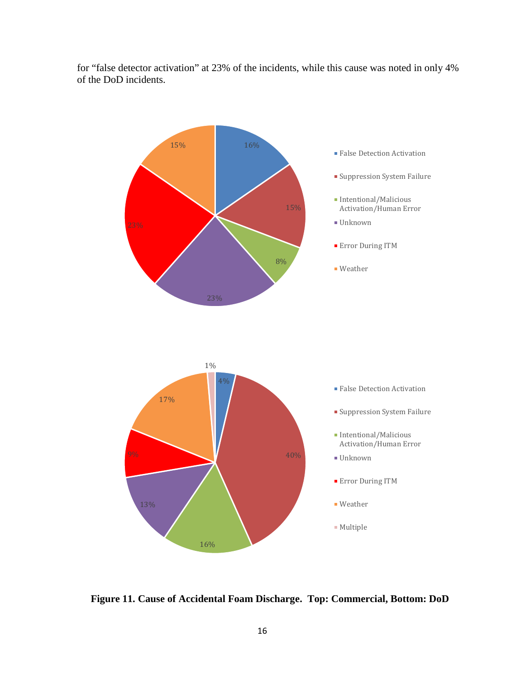for "false detector activation" at 23% of the incidents, while this cause was noted in only 4% of the DoD incidents.



**Figure 11. Cause of Accidental Foam Discharge. Top: Commercial, Bottom: DoD**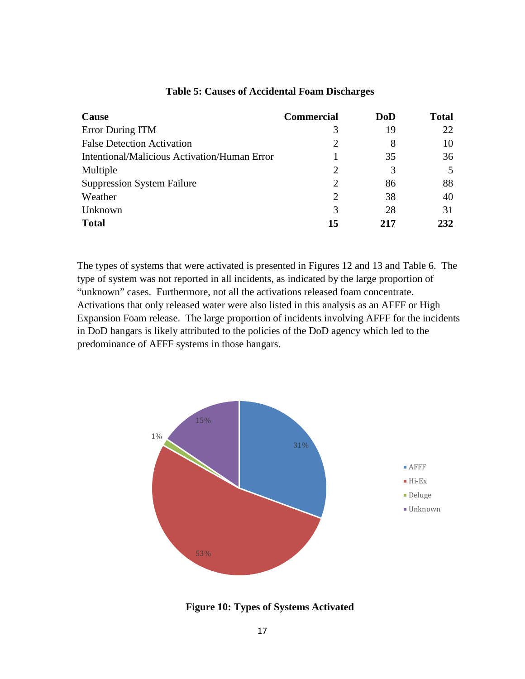| Cause                                               | <b>Commercial</b> | DoD | <b>Total</b> |
|-----------------------------------------------------|-------------------|-----|--------------|
| Error During ITM                                    | 3                 | 19  | 22           |
| <b>False Detection Activation</b>                   | 2                 | 8   | 10           |
| <b>Intentional/Malicious Activation/Human Error</b> |                   | 35  | 36           |
| Multiple                                            | 2                 | 3   | 5            |
| <b>Suppression System Failure</b>                   | 2                 | 86  | 88           |
| Weather                                             | 2                 | 38  | 40           |
| Unknown                                             | 3                 | 28  | 31           |
| <b>Total</b>                                        | 15                | 217 | 232          |

#### **Table 5: Causes of Accidental Foam Discharges**

The types of systems that were activated is presented in Figures 12 and 13 and Table 6. The type of system was not reported in all incidents, as indicated by the large proportion of "unknown" cases. Furthermore, not all the activations released foam concentrate. Activations that only released water were also listed in this analysis as an AFFF or High Expansion Foam release. The large proportion of incidents involving AFFF for the incidents in DoD hangars is likely attributed to the policies of the DoD agency which led to the predominance of AFFF systems in those hangars.



**Figure 10: Types of Systems Activated**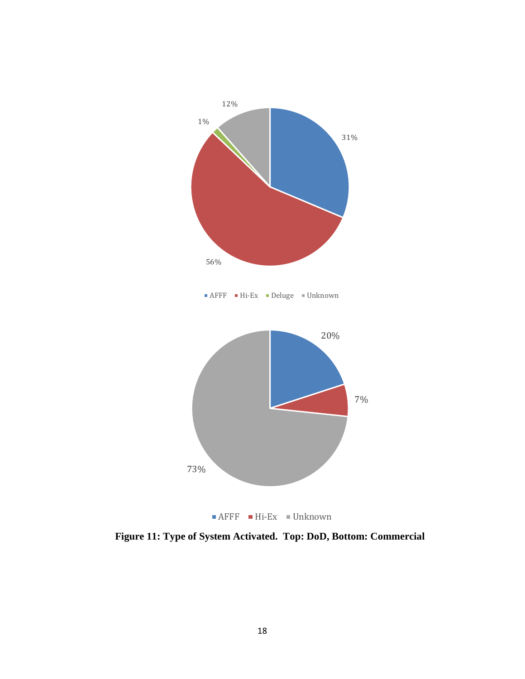

**Figure 11: Type of System Activated. Top: DoD, Bottom: Commercial**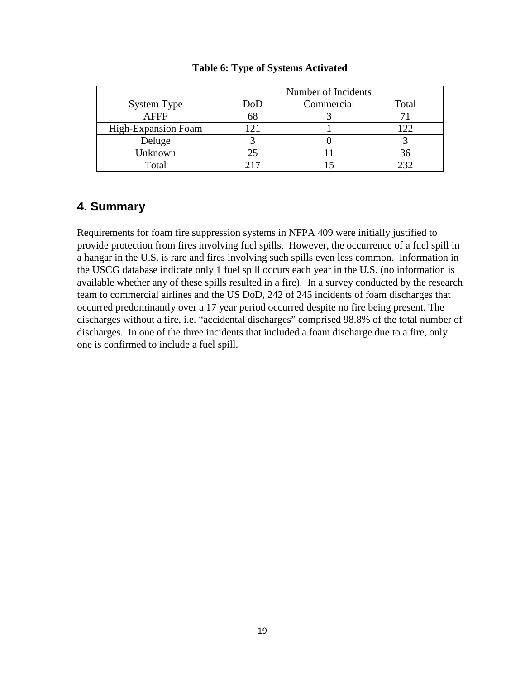|                     | Number of Incidents |            |       |
|---------------------|---------------------|------------|-------|
| System Type         | DoD                 | Commercial | Total |
| <b>AFFF</b>         | 68                  |            |       |
| High-Expansion Foam |                     |            | 122   |
| Deluge              |                     |            |       |
| Unknown             | 25                  |            | 36    |
| Total               |                     |            | າາາ   |

#### **Table 6: Type of Systems Activated**

#### **4. Summary**

Requirements for foam fire suppression systems in NFPA 409 were initially justified to provide protection from fires involving fuel spills. However, the occurrence of a fuel spill in a hangar in the U.S. is rare and fires involving such spills even less common. Information in the USCG database indicate only 1 fuel spill occurs each year in the U.S. (no information is available whether any of these spills resulted in a fire). In a survey conducted by the research team to commercial airlines and the US DoD, 242 of 245 incidents of foam discharges that occurred predominantly over a 17 year period occurred despite no fire being present. The discharges without a fire, i.e. "accidental discharges" comprised 98.8% of the total number of discharges. In one of the three incidents that included a foam discharge due to a fire, only one is confirmed to include a fuel spill.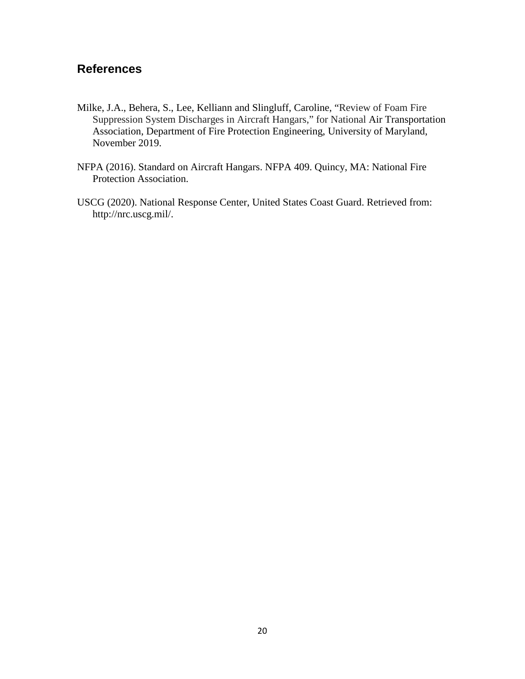## **References**

- Milke, J.A., Behera, S., Lee, Kelliann and Slingluff, Caroline, "Review of Foam Fire Suppression System Discharges in Aircraft Hangars," for National Air Transportation Association, Department of Fire Protection Engineering, University of Maryland, November 2019.
- NFPA (2016). Standard on Aircraft Hangars. NFPA 409. Quincy, MA: National Fire Protection Association.
- USCG (2020). National Response Center, United States Coast Guard. Retrieved from: http://nrc.uscg.mil/.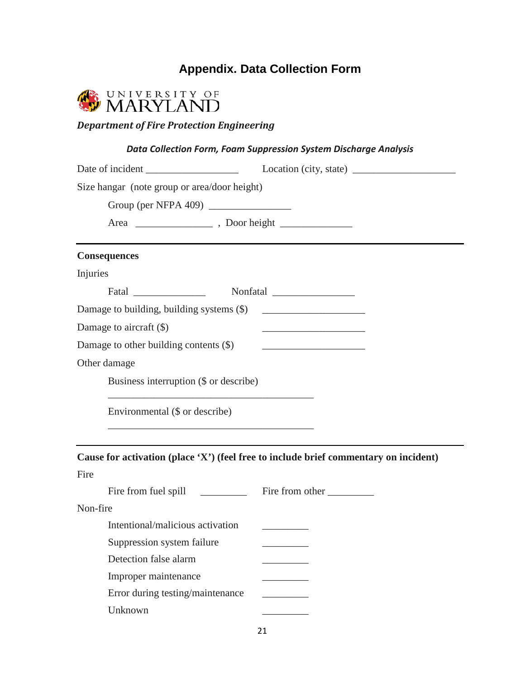## **Appendix. Data Collection Form**



### *Department of Fire Protection Engineering*

#### *Data Collection Form, Foam Suppression System Discharge Analysis*

<span id="page-20-0"></span>

| Date of incident                                                                                                                                         |                                                                                      |
|----------------------------------------------------------------------------------------------------------------------------------------------------------|--------------------------------------------------------------------------------------|
| Size hangar (note group or area/door height)                                                                                                             |                                                                                      |
| Group (per NFPA 409) $\frac{1}{2}$                                                                                                                       |                                                                                      |
|                                                                                                                                                          |                                                                                      |
| <b>Consequences</b>                                                                                                                                      |                                                                                      |
| Injuries                                                                                                                                                 |                                                                                      |
|                                                                                                                                                          |                                                                                      |
|                                                                                                                                                          |                                                                                      |
| Damage to aircraft (\$)                                                                                                                                  | the control of the control of the control of the control of the control of           |
| Damage to other building contents (\$)                                                                                                                   |                                                                                      |
| Other damage                                                                                                                                             |                                                                                      |
| Business interruption (\$ or describe)                                                                                                                   |                                                                                      |
| <u> 1989 - Johann John Stone, market fan it ferskearre fan it ferskearre fan it ferskearre fan it ferskearre fan i</u><br>Environmental (\$ or describe) |                                                                                      |
|                                                                                                                                                          | Cause for activation (place 'X') (feel free to include brief commentary on incident) |
| Fire                                                                                                                                                     |                                                                                      |
| Fire from fuel spill _______________ Fire from other ___________                                                                                         |                                                                                      |
| Non-fire                                                                                                                                                 |                                                                                      |
| Intentional/malicious activation                                                                                                                         |                                                                                      |
| Suppression system failure                                                                                                                               |                                                                                      |
| Detection false alarm                                                                                                                                    |                                                                                      |
| Improper maintenance                                                                                                                                     |                                                                                      |
| Error during testing/maintenance                                                                                                                         |                                                                                      |
| Unknown                                                                                                                                                  |                                                                                      |